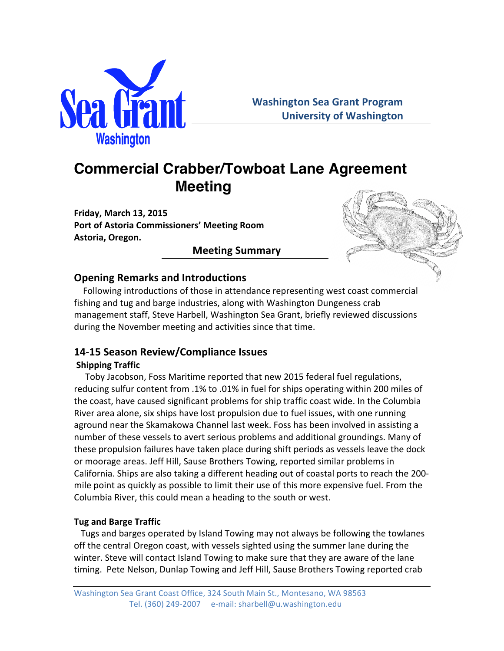

# **Commercial Crabber/Towboat Lane Agreement Meeting**

**Friday, March 13, 2015 Port of Astoria Commissioners' Meeting Room Astoria, Oregon.**

# **Meeting Summary**



# **Opening Remarks and Introductions**

Following introductions of those in attendance representing west coast commercial fishing and tug and barge industries, along with Washington Dungeness crab management staff, Steve Harbell, Washington Sea Grant, briefly reviewed discussions during the November meeting and activities since that time.

# **14-15 Season Review/Compliance Issues**

### **Shipping Traffic**

Toby Jacobson, Foss Maritime reported that new 2015 federal fuel regulations, reducing sulfur content from .1% to .01% in fuel for ships operating within 200 miles of the coast, have caused significant problems for ship traffic coast wide. In the Columbia River area alone, six ships have lost propulsion due to fuel issues, with one running aground near the Skamakowa Channel last week. Foss has been involved in assisting a number of these vessels to avert serious problems and additional groundings. Many of these propulsion failures have taken place during shift periods as vessels leave the dock or moorage areas. Jeff Hill, Sause Brothers Towing, reported similar problems in California. Ships are also taking a different heading out of coastal ports to reach the 200mile point as quickly as possible to limit their use of this more expensive fuel. From the Columbia River, this could mean a heading to the south or west.

### **Tug and Barge Traffic**

Tugs and barges operated by Island Towing may not always be following the towlanes off the central Oregon coast, with vessels sighted using the summer lane during the winter. Steve will contact Island Towing to make sure that they are aware of the lane timing. Pete Nelson, Dunlap Towing and Jeff Hill, Sause Brothers Towing reported crab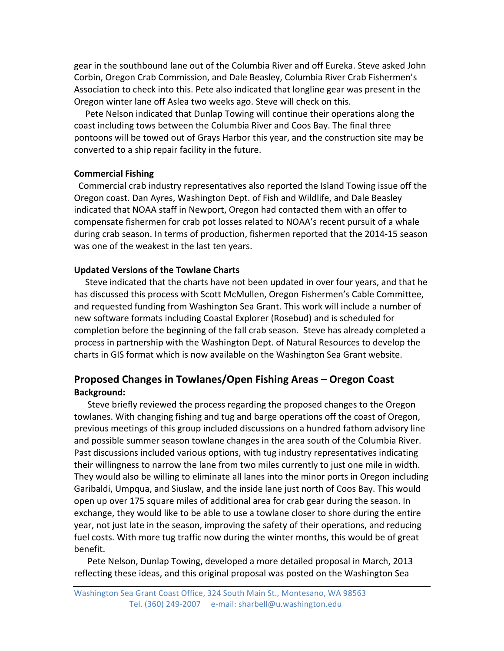gear in the southbound lane out of the Columbia River and off Eureka. Steve asked John Corbin, Oregon Crab Commission, and Dale Beasley, Columbia River Crab Fishermen's Association to check into this. Pete also indicated that longline gear was present in the Oregon winter lane off Aslea two weeks ago. Steve will check on this.

Pete Nelson indicated that Dunlap Towing will continue their operations along the coast including tows between the Columbia River and Coos Bay. The final three pontoons will be towed out of Grays Harbor this year, and the construction site may be converted to a ship repair facility in the future.

#### **Commercial Fishing**

Commercial crab industry representatives also reported the Island Towing issue off the Oregon coast. Dan Ayres, Washington Dept. of Fish and Wildlife, and Dale Beasley indicated that NOAA staff in Newport, Oregon had contacted them with an offer to compensate fishermen for crab pot losses related to NOAA's recent pursuit of a whale during crab season. In terms of production, fishermen reported that the 2014-15 season was one of the weakest in the last ten years.

#### **Updated Versions of the Towlane Charts**

Steve indicated that the charts have not been updated in over four years, and that he has discussed this process with Scott McMullen, Oregon Fishermen's Cable Committee, and requested funding from Washington Sea Grant. This work will include a number of new software formats including Coastal Explorer (Rosebud) and is scheduled for completion before the beginning of the fall crab season. Steve has already completed a process in partnership with the Washington Dept. of Natural Resources to develop the charts in GIS format which is now available on the Washington Sea Grant website.

# **Proposed Changes in Towlanes/Open Fishing Areas – Oregon Coast Background:**

Steve briefly reviewed the process regarding the proposed changes to the Oregon towlanes. With changing fishing and tug and barge operations off the coast of Oregon, previous meetings of this group included discussions on a hundred fathom advisory line and possible summer season towlane changes in the area south of the Columbia River. Past discussions included various options, with tug industry representatives indicating their willingness to narrow the lane from two miles currently to just one mile in width. They would also be willing to eliminate all lanes into the minor ports in Oregon including Garibaldi, Umpqua, and Siuslaw, and the inside lane just north of Coos Bay. This would open up over 175 square miles of additional area for crab gear during the season. In exchange, they would like to be able to use a towlane closer to shore during the entire year, not just late in the season, improving the safety of their operations, and reducing fuel costs. With more tug traffic now during the winter months, this would be of great benefit. 

Pete Nelson, Dunlap Towing, developed a more detailed proposal in March, 2013 reflecting these ideas, and this original proposal was posted on the Washington Sea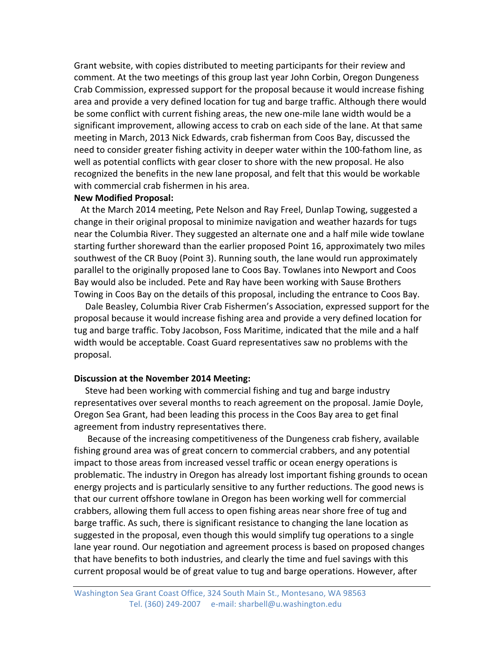Grant website, with copies distributed to meeting participants for their review and comment. At the two meetings of this group last year John Corbin, Oregon Dungeness Crab Commission, expressed support for the proposal because it would increase fishing area and provide a very defined location for tug and barge traffic. Although there would be some conflict with current fishing areas, the new one-mile lane width would be a significant improvement, allowing access to crab on each side of the lane. At that same meeting in March, 2013 Nick Edwards, crab fisherman from Coos Bay, discussed the need to consider greater fishing activity in deeper water within the 100-fathom line, as well as potential conflicts with gear closer to shore with the new proposal. He also recognized the benefits in the new lane proposal, and felt that this would be workable with commercial crab fishermen in his area.

#### **New Modified Proposal:**

At the March 2014 meeting, Pete Nelson and Ray Freel, Dunlap Towing, suggested a change in their original proposal to minimize navigation and weather hazards for tugs near the Columbia River. They suggested an alternate one and a half mile wide towlane starting further shoreward than the earlier proposed Point 16, approximately two miles southwest of the CR Buoy (Point 3). Running south, the lane would run approximately parallel to the originally proposed lane to Coos Bay. Towlanes into Newport and Coos Bay would also be included. Pete and Ray have been working with Sause Brothers Towing in Coos Bay on the details of this proposal, including the entrance to Coos Bay.

Dale Beasley, Columbia River Crab Fishermen's Association, expressed support for the proposal because it would increase fishing area and provide a very defined location for tug and barge traffic. Toby Jacobson, Foss Maritime, indicated that the mile and a half width would be acceptable. Coast Guard representatives saw no problems with the proposal.

#### **Discussion at the November 2014 Meeting:**

Steve had been working with commercial fishing and tug and barge industry representatives over several months to reach agreement on the proposal. Jamie Doyle, Oregon Sea Grant, had been leading this process in the Coos Bay area to get final agreement from industry representatives there.

Because of the increasing competitiveness of the Dungeness crab fishery, available fishing ground area was of great concern to commercial crabbers, and any potential impact to those areas from increased vessel traffic or ocean energy operations is problematic. The industry in Oregon has already lost important fishing grounds to ocean energy projects and is particularly sensitive to any further reductions. The good news is that our current offshore towlane in Oregon has been working well for commercial crabbers, allowing them full access to open fishing areas near shore free of tug and barge traffic. As such, there is significant resistance to changing the lane location as suggested in the proposal, even though this would simplify tug operations to a single lane year round. Our negotiation and agreement process is based on proposed changes that have benefits to both industries, and clearly the time and fuel savings with this current proposal would be of great value to tug and barge operations. However, after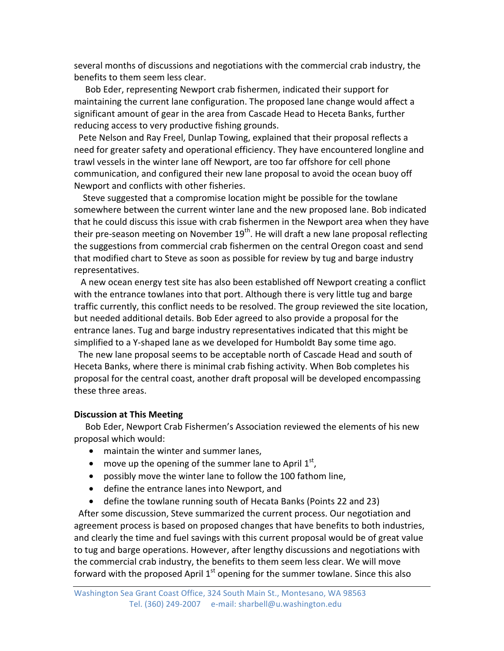several months of discussions and negotiations with the commercial crab industry, the benefits to them seem less clear.

Bob Eder, representing Newport crab fishermen, indicated their support for maintaining the current lane configuration. The proposed lane change would affect a significant amount of gear in the area from Cascade Head to Heceta Banks, further reducing access to very productive fishing grounds.

Pete Nelson and Ray Freel, Dunlap Towing, explained that their proposal reflects a need for greater safety and operational efficiency. They have encountered longline and trawl vessels in the winter lane off Newport, are too far offshore for cell phone communication, and configured their new lane proposal to avoid the ocean buoy off Newport and conflicts with other fisheries.

Steve suggested that a compromise location might be possible for the towlane somewhere between the current winter lane and the new proposed lane. Bob indicated that he could discuss this issue with crab fishermen in the Newport area when they have their pre-season meeting on November  $19<sup>th</sup>$ . He will draft a new lane proposal reflecting the suggestions from commercial crab fishermen on the central Oregon coast and send that modified chart to Steve as soon as possible for review by tug and barge industry representatives. 

A new ocean energy test site has also been established off Newport creating a conflict with the entrance towlanes into that port. Although there is very little tug and barge traffic currently, this conflict needs to be resolved. The group reviewed the site location, but needed additional details. Bob Eder agreed to also provide a proposal for the entrance lanes. Tug and barge industry representatives indicated that this might be simplified to a Y-shaped lane as we developed for Humboldt Bay some time ago.

The new lane proposal seems to be acceptable north of Cascade Head and south of Heceta Banks, where there is minimal crab fishing activity. When Bob completes his proposal for the central coast, another draft proposal will be developed encompassing these three areas.

#### **Discussion at This Meeting**

Bob Eder, Newport Crab Fishermen's Association reviewed the elements of his new proposal which would:

- maintain the winter and summer lanes,
- move up the opening of the summer lane to April  $1^{st}$ ,
- possibly move the winter lane to follow the 100 fathom line,
- define the entrance lanes into Newport, and
- define the towlane running south of Hecata Banks (Points 22 and 23)

After some discussion, Steve summarized the current process. Our negotiation and agreement process is based on proposed changes that have benefits to both industries, and clearly the time and fuel savings with this current proposal would be of great value to tug and barge operations. However, after lengthy discussions and negotiations with the commercial crab industry, the benefits to them seem less clear. We will move forward with the proposed April  $1^{st}$  opening for the summer towlane. Since this also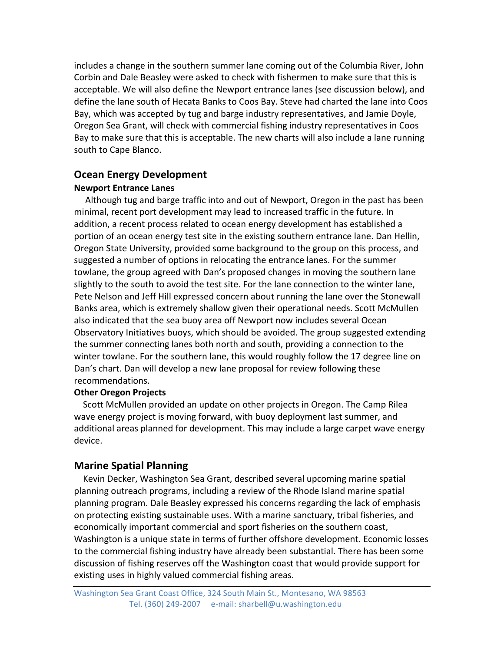includes a change in the southern summer lane coming out of the Columbia River, John Corbin and Dale Beasley were asked to check with fishermen to make sure that this is acceptable. We will also define the Newport entrance lanes (see discussion below), and define the lane south of Hecata Banks to Coos Bay. Steve had charted the lane into Coos Bay, which was accepted by tug and barge industry representatives, and Jamie Doyle, Oregon Sea Grant, will check with commercial fishing industry representatives in Coos Bay to make sure that this is acceptable. The new charts will also include a lane running south to Cape Blanco.

### **Ocean Energy Development**

### **Newport Entrance Lanes**

Although tug and barge traffic into and out of Newport, Oregon in the past has been minimal, recent port development may lead to increased traffic in the future. In addition, a recent process related to ocean energy development has established a portion of an ocean energy test site in the existing southern entrance lane. Dan Hellin, Oregon State University, provided some background to the group on this process, and suggested a number of options in relocating the entrance lanes. For the summer towlane, the group agreed with Dan's proposed changes in moving the southern lane slightly to the south to avoid the test site. For the lane connection to the winter lane, Pete Nelson and Jeff Hill expressed concern about running the lane over the Stonewall Banks area, which is extremely shallow given their operational needs. Scott McMullen also indicated that the sea buoy area off Newport now includes several Ocean Observatory Initiatives buoys, which should be avoided. The group suggested extending the summer connecting lanes both north and south, providing a connection to the winter towlane. For the southern lane, this would roughly follow the 17 degree line on Dan's chart. Dan will develop a new lane proposal for review following these recommendations.

#### **Other Oregon Projects**

Scott McMullen provided an update on other projects in Oregon. The Camp Rilea wave energy project is moving forward, with buoy deployment last summer, and additional areas planned for development. This may include a large carpet wave energy device.

### **Marine Spatial Planning**

Kevin Decker, Washington Sea Grant, described several upcoming marine spatial planning outreach programs, including a review of the Rhode Island marine spatial planning program. Dale Beasley expressed his concerns regarding the lack of emphasis on protecting existing sustainable uses. With a marine sanctuary, tribal fisheries, and economically important commercial and sport fisheries on the southern coast, Washington is a unique state in terms of further offshore development. Economic losses to the commercial fishing industry have already been substantial. There has been some discussion of fishing reserves off the Washington coast that would provide support for existing uses in highly valued commercial fishing areas.